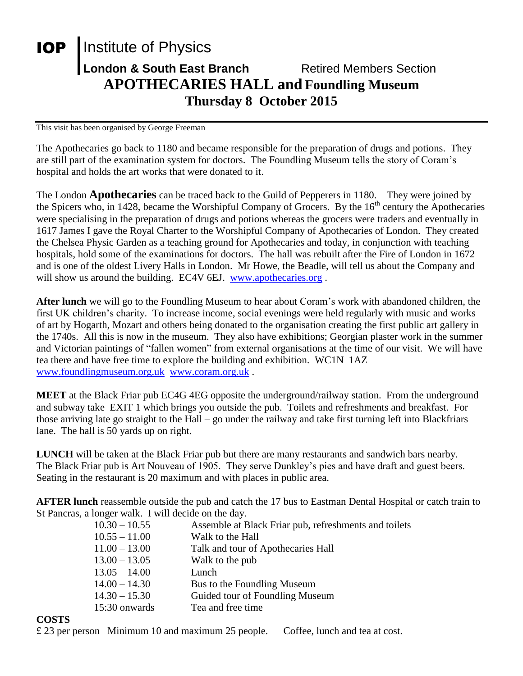## **IOP** Institute of Physics **London & South East Branch Fighter Retired Members Section APOTHECARIES HALL and Foundling Museum Thursday 8 October 2015**

This visit has been organised by George Freeman

The Apothecaries go back to 1180 and became responsible for the preparation of drugs and potions. They are still part of the examination system for doctors. The Foundling Museum tells the story of Coram's hospital and holds the art works that were donated to it.

The London **Apothecaries** can be traced back to the Guild of Pepperers in 1180. They were joined by the Spicers who, in 1428, became the Worshipful Company of Grocers. By the  $16<sup>th</sup>$  century the Apothecaries were specialising in the preparation of drugs and potions whereas the grocers were traders and eventually in 1617 James I gave the Royal Charter to the Worshipful Company of Apothecaries of London. They created the Chelsea Physic Garden as a teaching ground for Apothecaries and today, in conjunction with teaching hospitals, hold some of the examinations for doctors. The hall was rebuilt after the Fire of London in 1672 and is one of the oldest Livery Halls in London. Mr Howe, the Beadle, will tell us about the Company and will show us around the building. EC4V 6EJ. [www.apothecaries.org](http://www.apothecaries.org/).

**After lunch** we will go to the Foundling Museum to hear about Coram's work with abandoned children, the first UK children's charity. To increase income, social evenings were held regularly with music and works of art by Hogarth, Mozart and others being donated to the organisation creating the first public art gallery in the 1740s. All this is now in the museum. They also have exhibitions; Georgian plaster work in the summer and Victorian paintings of "fallen women" from external organisations at the time of our visit. We will have tea there and have free time to explore the building and exhibition. WC1N 1AZ [www.foundlingmuseum.org.uk](http://www.foundlingmuseum.org.uk/) [www.coram.org.uk](http://www.coram.org.uk/) .

**MEET** at the Black Friar pub EC4G 4EG opposite the underground/railway station. From the underground and subway take EXIT 1 which brings you outside the pub. Toilets and refreshments and breakfast. For those arriving late go straight to the Hall – go under the railway and take first turning left into Blackfriars lane. The hall is 50 yards up on right.

**LUNCH** will be taken at the Black Friar pub but there are many restaurants and sandwich bars nearby. The Black Friar pub is Art Nouveau of 1905. They serve Dunkley's pies and have draft and guest beers. Seating in the restaurant is 20 maximum and with places in public area.

**AFTER lunch** reassemble outside the pub and catch the 17 bus to Eastman Dental Hospital or catch train to St Pancras, a longer walk. I will decide on the day.

| Assemble at Black Friar pub, refreshments and toilets |
|-------------------------------------------------------|
| Walk to the Hall                                      |
| Talk and tour of Apothecaries Hall                    |
| Walk to the pub                                       |
| Lunch                                                 |
| Bus to the Foundling Museum                           |
| Guided tour of Foundling Museum                       |
| Tea and free time                                     |
|                                                       |

## **COSTS**

£ 23 per person Minimum 10 and maximum 25 people. Coffee, lunch and tea at cost.